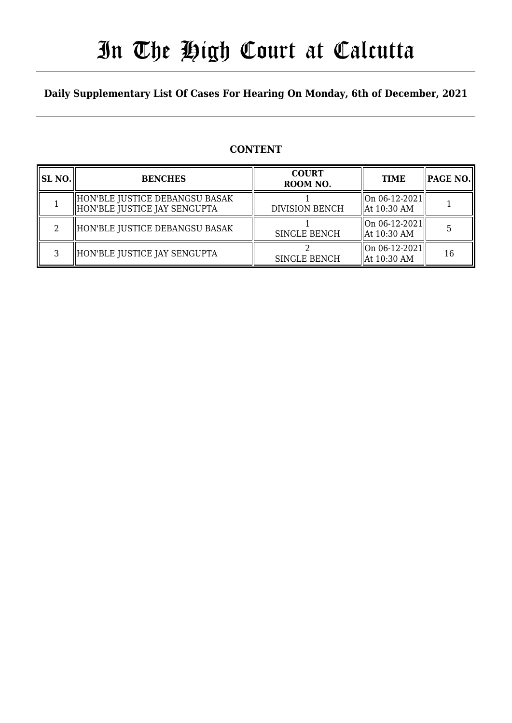# In The High Court at Calcutta

### **Daily Supplementary List Of Cases For Hearing On Monday, 6th of December, 2021**

### **CONTENT**

| SL NO. | <b>BENCHES</b>                                                  | <b>COURT</b><br>ROOM NO. | <b>TIME</b>                      | PAGE NO. |
|--------|-----------------------------------------------------------------|--------------------------|----------------------------------|----------|
|        | HON'BLE JUSTICE DEBANGSU BASAK <br>HON'BLE JUSTICE JAY SENGUPTA | <b>DIVISION BENCH</b>    | On 06-12-2021  <br>  At 10:30 AM |          |
| റ      | HON'BLE JUSTICE DEBANGSU BASAK                                  | <b>SINGLE BENCH</b>      | On 06-12-2021  <br>  At 10:30 AM |          |
| ς      | HON'BLE JUSTICE JAY SENGUPTA                                    | <b>SINGLE BENCH</b>      | On 06-12-2021  <br>  At 10:30 AM | 16       |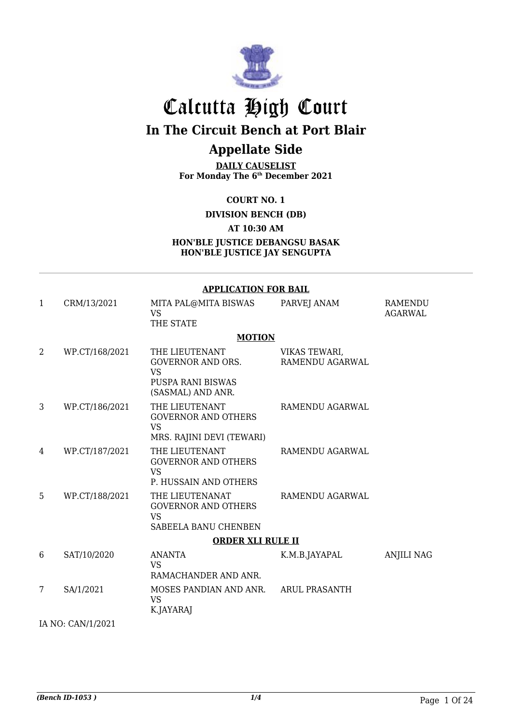

# Calcutta High Court

**In The Circuit Bench at Port Blair**

## **Appellate Side**

**DAILY CAUSELIST For Monday The 6th December 2021**

**COURT NO. 1**

**DIVISION BENCH (DB)**

**AT 10:30 AM**

**HON'BLE JUSTICE DEBANGSU BASAK HON'BLE JUSTICE JAY SENGUPTA**

#### **APPLICATION FOR BAIL** 1 CRM/13/2021 MITA PAL@MITA BISWAS VS THE STATE PARVEJ ANAM RAMENDU AGARWAL **MOTION** 2 WP.CT/168/2021 THE LIEUTENANT GOVERNOR AND ORS. VS PUSPA RANI BISWAS (SASMAL) AND ANR. VIKAS TEWARI, RAMENDU AGARWAL 3 WP.CT/186/2021 THE LIEUTENANT GOVERNOR AND OTHERS VS MRS. RAJINI DEVI (TEWARI) RAMENDU AGARWAL 4 WP.CT/187/2021 THE LIEUTENANT GOVERNOR AND OTHERS VS P. HUSSAIN AND OTHERS RAMENDU AGARWAL 5 WP.CT/188/2021 THE LIEUTENANAT GOVERNOR AND OTHERS VS SABEELA BANU CHENBEN RAMENDU AGARWAL **ORDER XLI RULE II** 6 SAT/10/2020 ANANTA VS RAMACHANDER AND ANR. K.M.B.JAYAPAL ANJILI NAG 7 SA/1/2021 MOSES PANDIAN AND ANR. VS K.JAYARAJ ARUL PRASANTH

IA NO: CAN/1/2021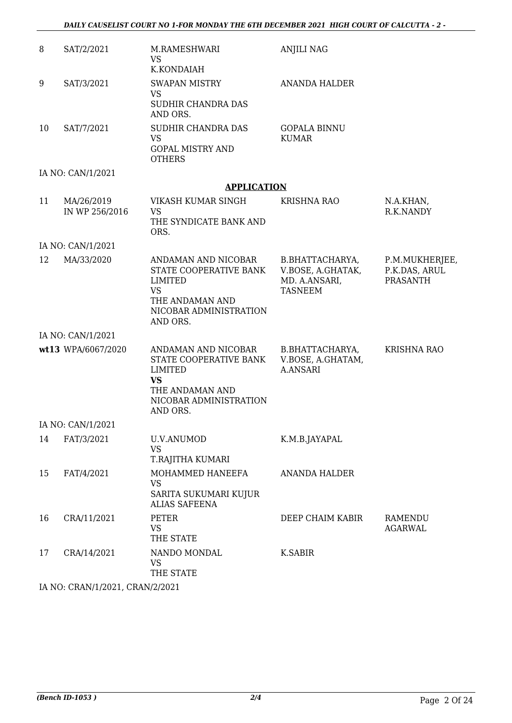| 8  | SAT/2/2021                      | M.RAMESHWARI<br><b>VS</b><br>K.KONDAIAH                                                                                               | <b>ANJILI NAG</b>                                                       |                                                    |
|----|---------------------------------|---------------------------------------------------------------------------------------------------------------------------------------|-------------------------------------------------------------------------|----------------------------------------------------|
| 9  | SAT/3/2021                      | <b>SWAPAN MISTRY</b><br><b>VS</b><br>SUDHIR CHANDRA DAS                                                                               | <b>ANANDA HALDER</b>                                                    |                                                    |
| 10 | SAT/7/2021                      | AND ORS.<br>SUDHIR CHANDRA DAS<br><b>VS</b><br><b>GOPAL MISTRY AND</b><br><b>OTHERS</b>                                               | <b>GOPALA BINNU</b><br><b>KUMAR</b>                                     |                                                    |
|    | IA NO: CAN/1/2021               |                                                                                                                                       |                                                                         |                                                    |
|    |                                 | <b>APPLICATION</b>                                                                                                                    |                                                                         |                                                    |
| 11 | MA/26/2019<br>IN WP 256/2016    | VIKASH KUMAR SINGH<br><b>VS</b><br>THE SYNDICATE BANK AND                                                                             | <b>KRISHNA RAO</b>                                                      | N.A.KHAN,<br>R.K.NANDY                             |
|    |                                 | ORS.                                                                                                                                  |                                                                         |                                                    |
|    | IA NO: CAN/1/2021               |                                                                                                                                       |                                                                         |                                                    |
| 12 | MA/33/2020                      | ANDAMAN AND NICOBAR<br>STATE COOPERATIVE BANK<br><b>LIMITED</b><br><b>VS</b><br>THE ANDAMAN AND<br>NICOBAR ADMINISTRATION<br>AND ORS. | B.BHATTACHARYA,<br>V.BOSE, A.GHATAK,<br>MD. A.ANSARI,<br><b>TASNEEM</b> | P.M.MUKHERJEE,<br>P.K.DAS, ARUL<br><b>PRASANTH</b> |
|    | IA NO: CAN/1/2021               |                                                                                                                                       |                                                                         |                                                    |
|    | wt13 WPA/6067/2020              | ANDAMAN AND NICOBAR<br>STATE COOPERATIVE BANK<br>LIMITED<br><b>VS</b><br>THE ANDAMAN AND<br>NICOBAR ADMINISTRATION<br>AND ORS.        | B.BHATTACHARYA,<br>V.BOSE, A.GHATAM,<br><b>A.ANSARI</b>                 | KRISHNA RAO                                        |
|    | IA NO: CAN/1/2021               |                                                                                                                                       |                                                                         |                                                    |
| 14 | FAT/3/2021                      | <b>U.V.ANUMOD</b><br><b>VS</b><br>T.RAJITHA KUMARI                                                                                    | K.M.B.JAYAPAL                                                           |                                                    |
| 15 | FAT/4/2021                      | MOHAMMED HANEEFA<br>VS<br>SARITA SUKUMARI KUJUR<br><b>ALIAS SAFEENA</b>                                                               | <b>ANANDA HALDER</b>                                                    |                                                    |
| 16 | CRA/11/2021                     | <b>PETER</b><br><b>VS</b><br>THE STATE                                                                                                | DEEP CHAIM KABIR                                                        | RAMENDU<br><b>AGARWAL</b>                          |
| 17 | CRA/14/2021                     | NANDO MONDAL<br><b>VS</b><br>THE STATE                                                                                                | K.SABIR                                                                 |                                                    |
|    | IA NO: CRAN/1/2021, CRAN/2/2021 |                                                                                                                                       |                                                                         |                                                    |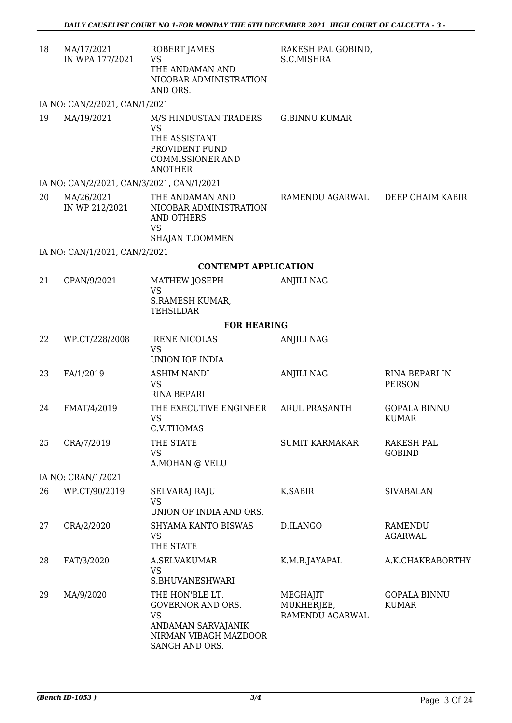| 18 | MA/17/2021<br>IN WPA 177/2021             | ROBERT JAMES<br><b>VS</b><br>THE ANDAMAN AND<br>NICOBAR ADMINISTRATION<br>AND ORS.                                 | RAKESH PAL GOBIND,<br>S.C.MISHRA          |                                     |  |  |
|----|-------------------------------------------|--------------------------------------------------------------------------------------------------------------------|-------------------------------------------|-------------------------------------|--|--|
|    | IA NO: CAN/2/2021, CAN/1/2021             |                                                                                                                    |                                           |                                     |  |  |
| 19 | MA/19/2021                                | M/S HINDUSTAN TRADERS<br><b>VS</b><br>THE ASSISTANT<br>PROVIDENT FUND<br><b>COMMISSIONER AND</b><br><b>ANOTHER</b> | <b>G.BINNU KUMAR</b>                      |                                     |  |  |
|    | IA NO: CAN/2/2021, CAN/3/2021, CAN/1/2021 |                                                                                                                    |                                           |                                     |  |  |
| 20 | MA/26/2021<br>IN WP 212/2021              | THE ANDAMAN AND<br>NICOBAR ADMINISTRATION<br><b>AND OTHERS</b><br><b>VS</b>                                        | RAMENDU AGARWAL                           | DEEP CHAIM KABIR                    |  |  |
|    |                                           | SHAJAN T.OOMMEN                                                                                                    |                                           |                                     |  |  |
|    | IA NO: CAN/1/2021, CAN/2/2021             |                                                                                                                    |                                           |                                     |  |  |
|    |                                           | <b>CONTEMPT APPLICATION</b>                                                                                        |                                           |                                     |  |  |
| 21 | CPAN/9/2021                               | MATHEW JOSEPH<br><b>VS</b><br>S.RAMESH KUMAR,<br><b>TEHSILDAR</b>                                                  | <b>ANJILI NAG</b>                         |                                     |  |  |
|    | <b>FOR HEARING</b>                        |                                                                                                                    |                                           |                                     |  |  |
| 22 | WP.CT/228/2008                            | <b>IRENE NICOLAS</b><br><b>VS</b><br>UNION IOF INDIA                                                               | <b>ANJILI NAG</b>                         |                                     |  |  |
| 23 | FA/1/2019                                 | <b>ASHIM NANDI</b><br><b>VS</b><br><b>RINA BEPARI</b>                                                              | <b>ANJILI NAG</b>                         | RINA BEPARI IN<br><b>PERSON</b>     |  |  |
| 24 | FMAT/4/2019                               | THE EXECUTIVE ENGINEER<br><b>VS</b><br>C.V.THOMAS                                                                  | <b>ARUL PRASANTH</b>                      | <b>GOPALA BINNU</b><br><b>KUMAR</b> |  |  |
| 25 | CRA/7/2019                                | THE STATE<br><b>VS</b><br>A.MOHAN @ VELU                                                                           | <b>SUMIT KARMAKAR</b>                     | RAKESH PAL<br><b>GOBIND</b>         |  |  |
|    | IA NO: CRAN/1/2021                        |                                                                                                                    |                                           |                                     |  |  |
| 26 | WP.CT/90/2019                             | SELVARAJ RAJU<br><b>VS</b><br>UNION OF INDIA AND ORS.                                                              | K.SABIR                                   | <b>SIVABALAN</b>                    |  |  |
| 27 | CRA/2/2020                                | SHYAMA KANTO BISWAS<br><b>VS</b><br>THE STATE                                                                      | D.ILANGO                                  | <b>RAMENDU</b><br><b>AGARWAL</b>    |  |  |
| 28 | FAT/3/2020                                | A.SELVAKUMAR<br><b>VS</b><br>S.BHUVANESHWARI                                                                       | K.M.B.JAYAPAL                             | A.K.CHAKRABORTHY                    |  |  |
| 29 | MA/9/2020                                 | THE HON'BLE LT.<br>GOVERNOR AND ORS.<br><b>VS</b><br>ANDAMAN SARVAJANIK<br>NIRMAN VIBAGH MAZDOOR<br>SANGH AND ORS. | MEGHAJIT<br>MUKHERJEE,<br>RAMENDU AGARWAL | <b>GOPALA BINNU</b><br><b>KUMAR</b> |  |  |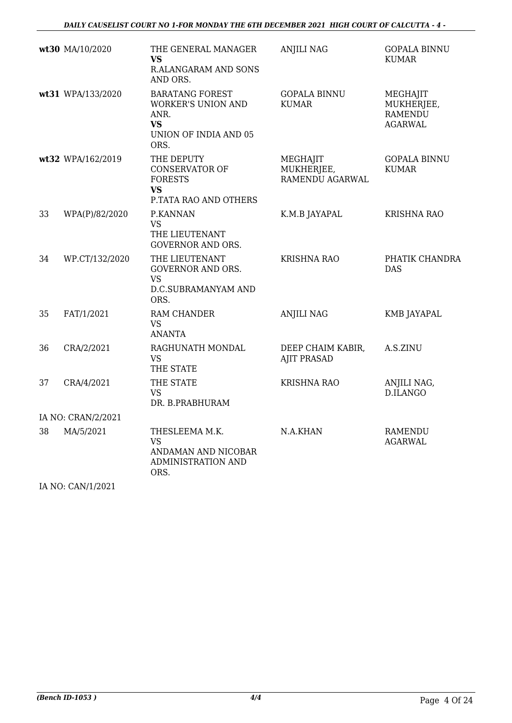|    | wt30 MA/10/2020    | THE GENERAL MANAGER<br><b>VS</b><br>R.ALANGARAM AND SONS<br>AND ORS.                               | <b>ANJILI NAG</b>                         | <b>GOPALA BINNU</b><br><b>KUMAR</b>                        |
|----|--------------------|----------------------------------------------------------------------------------------------------|-------------------------------------------|------------------------------------------------------------|
|    | wt31 WPA/133/2020  | <b>BARATANG FOREST</b><br>WORKER'S UNION AND<br>ANR.<br><b>VS</b><br>UNION OF INDIA AND 05<br>ORS. | <b>GOPALA BINNU</b><br><b>KUMAR</b>       | MEGHAJIT<br>MUKHERJEE,<br><b>RAMENDU</b><br><b>AGARWAL</b> |
|    | wt32 WPA/162/2019  | THE DEPUTY<br><b>CONSERVATOR OF</b><br><b>FORESTS</b><br><b>VS</b><br>P.TATA RAO AND OTHERS        | MEGHAJIT<br>MUKHERJEE,<br>RAMENDU AGARWAL | <b>GOPALA BINNU</b><br><b>KUMAR</b>                        |
| 33 | WPA(P)/82/2020     | P.KANNAN<br><b>VS</b><br>THE LIEUTENANT<br>GOVERNOR AND ORS.                                       | K.M.B JAYAPAL                             | <b>KRISHNA RAO</b>                                         |
| 34 | WP.CT/132/2020     | THE LIEUTENANT<br>GOVERNOR AND ORS.<br><b>VS</b><br>D.C.SUBRAMANYAM AND<br>ORS.                    | <b>KRISHNA RAO</b>                        | PHATIK CHANDRA<br><b>DAS</b>                               |
| 35 | FAT/1/2021         | RAM CHANDER<br><b>VS</b><br><b>ANANTA</b>                                                          | <b>ANJILI NAG</b>                         | KMB JAYAPAL                                                |
| 36 | CRA/2/2021         | RAGHUNATH MONDAL<br>VS<br>THE STATE                                                                | DEEP CHAIM KABIR,<br><b>AJIT PRASAD</b>   | A.S.ZINU                                                   |
| 37 | CRA/4/2021         | THE STATE<br><b>VS</b><br>DR. B.PRABHURAM                                                          | <b>KRISHNA RAO</b>                        | ANJILI NAG,<br>D.ILANGO                                    |
|    | IA NO: CRAN/2/2021 |                                                                                                    |                                           |                                                            |
| 38 | MA/5/2021          | THESLEEMA M.K.<br><b>VS</b><br>ANDAMAN AND NICOBAR<br>ADMINISTRATION AND<br>ORS.                   | N.A.KHAN                                  | <b>RAMENDU</b><br><b>AGARWAL</b>                           |

IA NO: CAN/1/2021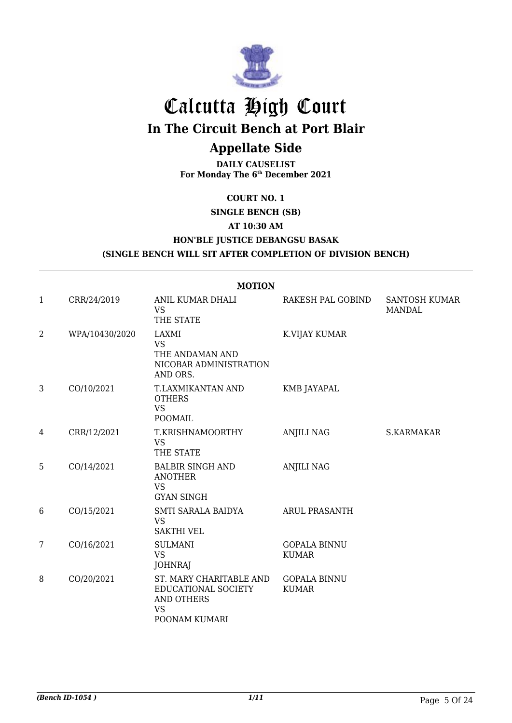

# Calcutta High Court

**In The Circuit Bench at Port Blair**

# **Appellate Side**

**DAILY CAUSELIST For Monday The 6th December 2021**

### **COURT NO. 1**

**SINGLE BENCH (SB)**

### **AT 10:30 AM**

### **HON'BLE JUSTICE DEBANGSU BASAK**

**(SINGLE BENCH WILL SIT AFTER COMPLETION OF DIVISION BENCH)**

|   |                | <b>MOTION</b>                                                                                     |                                     |                                       |
|---|----------------|---------------------------------------------------------------------------------------------------|-------------------------------------|---------------------------------------|
| 1 | CRR/24/2019    | ANIL KUMAR DHALI<br><b>VS</b><br>THE STATE                                                        | RAKESH PAL GOBIND                   | <b>SANTOSH KUMAR</b><br><b>MANDAL</b> |
| 2 | WPA/10430/2020 | LAXMI<br><b>VS</b><br>THE ANDAMAN AND<br>NICOBAR ADMINISTRATION<br>AND ORS.                       | K.VIJAY KUMAR                       |                                       |
| 3 | CO/10/2021     | T.LAXMIKANTAN AND<br><b>OTHERS</b><br><b>VS</b><br><b>POOMAIL</b>                                 | <b>KMB JAYAPAL</b>                  |                                       |
| 4 | CRR/12/2021    | T.KRISHNAMOORTHY<br><b>VS</b><br>THE STATE                                                        | <b>ANJILI NAG</b>                   | S.KARMAKAR                            |
| 5 | CO/14/2021     | <b>BALBIR SINGH AND</b><br><b>ANOTHER</b><br><b>VS</b><br><b>GYAN SINGH</b>                       | <b>ANJILI NAG</b>                   |                                       |
| 6 | CO/15/2021     | SMTI SARALA BAIDYA<br><b>VS</b><br><b>SAKTHI VEL</b>                                              | <b>ARUL PRASANTH</b>                |                                       |
| 7 | CO/16/2021     | <b>SULMANI</b><br><b>VS</b><br><b>JOHNRAJ</b>                                                     | <b>GOPALA BINNU</b><br><b>KUMAR</b> |                                       |
| 8 | CO/20/2021     | ST. MARY CHARITABLE AND<br>EDUCATIONAL SOCIETY<br><b>AND OTHERS</b><br><b>VS</b><br>POONAM KUMARI | <b>GOPALA BINNU</b><br><b>KUMAR</b> |                                       |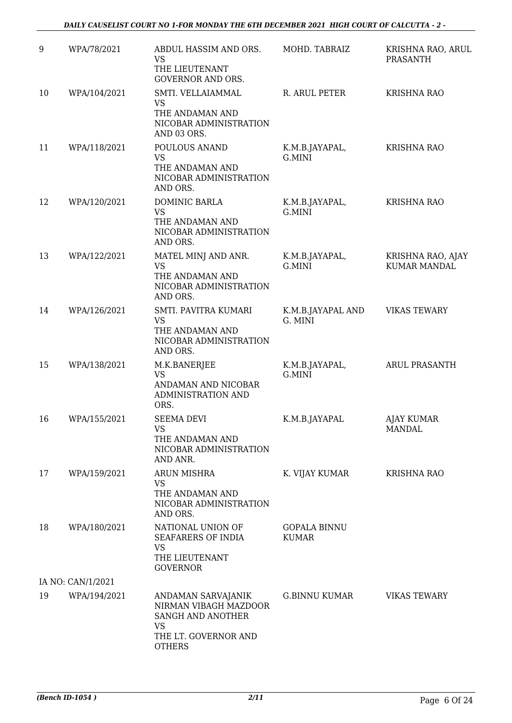| 9  | WPA/78/2021       | ABDUL HASSIM AND ORS.<br><b>VS</b><br>THE LIEUTENANT<br><b>GOVERNOR AND ORS.</b>           | MOHD. TABRAIZ                       | KRISHNA RAO, ARUL<br>PRASANTH            |
|----|-------------------|--------------------------------------------------------------------------------------------|-------------------------------------|------------------------------------------|
| 10 | WPA/104/2021      | SMTI. VELLAIAMMAL<br>VS<br>THE ANDAMAN AND<br>NICOBAR ADMINISTRATION<br>AND 03 ORS.        | R. ARUL PETER                       | <b>KRISHNA RAO</b>                       |
| 11 | WPA/118/2021      | POULOUS ANAND<br><b>VS</b><br>THE ANDAMAN AND<br>NICOBAR ADMINISTRATION<br>AND ORS.        | K.M.B.JAYAPAL,<br>G.MINI            | <b>KRISHNA RAO</b>                       |
| 12 | WPA/120/2021      | DOMINIC BARLA<br><b>VS</b><br>THE ANDAMAN AND<br>NICOBAR ADMINISTRATION<br>AND ORS.        | K.M.B.JAYAPAL,<br>G.MINI            | <b>KRISHNA RAO</b>                       |
| 13 | WPA/122/2021      | MATEL MINJ AND ANR.<br><b>VS</b><br>THE ANDAMAN AND<br>NICOBAR ADMINISTRATION<br>AND ORS.  | K.M.B.JAYAPAL,<br>G.MINI            | KRISHNA RAO, AJAY<br><b>KUMAR MANDAL</b> |
| 14 | WPA/126/2021      | SMTI. PAVITRA KUMARI<br><b>VS</b><br>THE ANDAMAN AND<br>NICOBAR ADMINISTRATION<br>AND ORS. | K.M.B.JAYAPAL AND<br>G. MINI        | <b>VIKAS TEWARY</b>                      |
| 15 | WPA/138/2021      | M.K.BANERJEE<br><b>VS</b><br>ANDAMAN AND NICOBAR<br><b>ADMINISTRATION AND</b><br>ORS.      | K.M.B.JAYAPAL,<br>G.MINI            | ARUL PRASANTH                            |
| 16 | WPA/155/2021      | <b>SEEMA DEVI</b><br><b>VS</b><br>THE ANDAMAN AND<br>NICOBAR ADMINISTRATION<br>AND ANR.    | K.M.B.JAYAPAL                       | <b>AJAY KUMAR</b><br><b>MANDAL</b>       |
| 17 | WPA/159/2021      | <b>ARUN MISHRA</b><br><b>VS</b><br>THE ANDAMAN AND<br>NICOBAR ADMINISTRATION<br>AND ORS.   | K. VIJAY KUMAR                      | <b>KRISHNA RAO</b>                       |
| 18 | WPA/180/2021      | NATIONAL UNION OF<br>SEAFARERS OF INDIA<br><b>VS</b><br>THE LIEUTENANT<br><b>GOVERNOR</b>  | <b>GOPALA BINNU</b><br><b>KUMAR</b> |                                          |
|    | IA NO: CAN/1/2021 |                                                                                            |                                     |                                          |
| 19 | WPA/194/2021      | ANDAMAN SARVAJANIK<br>NIRMAN VIBAGH MAZDOOR<br>SANGH AND ANOTHER<br><b>VS</b>              | <b>G.BINNU KUMAR</b>                | <b>VIKAS TEWARY</b>                      |
|    |                   | THE LT. GOVERNOR AND<br><b>OTHERS</b>                                                      |                                     |                                          |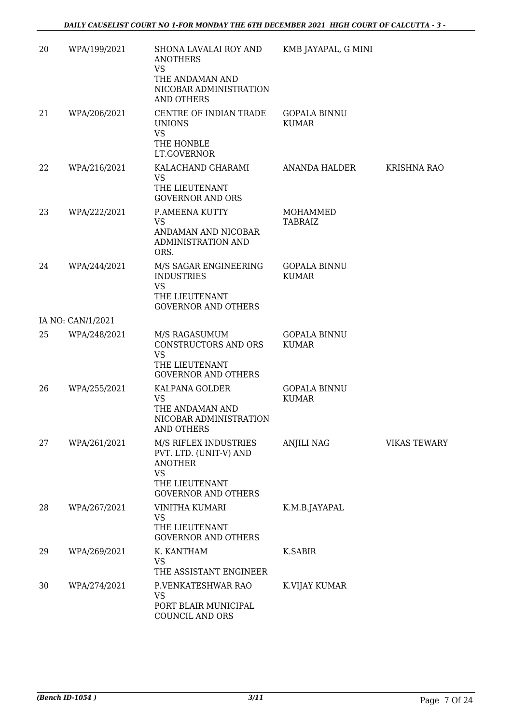| 20 | WPA/199/2021      | SHONA LAVALAI ROY AND<br><b>ANOTHERS</b><br><b>VS</b><br>THE ANDAMAN AND<br>NICOBAR ADMINISTRATION<br><b>AND OTHERS</b>        | KMB JAYAPAL, G MINI                 |                     |
|----|-------------------|--------------------------------------------------------------------------------------------------------------------------------|-------------------------------------|---------------------|
| 21 | WPA/206/2021      | CENTRE OF INDIAN TRADE<br><b>UNIONS</b><br><b>VS</b><br>THE HONBLE<br>LT.GOVERNOR                                              | <b>GOPALA BINNU</b><br><b>KUMAR</b> |                     |
| 22 | WPA/216/2021      | KALACHAND GHARAMI<br><b>VS</b><br>THE LIEUTENANT<br><b>GOVERNOR AND ORS</b>                                                    | ANANDA HALDER                       | <b>KRISHNA RAO</b>  |
| 23 | WPA/222/2021      | P.AMEENA KUTTY<br><b>VS</b><br>ANDAMAN AND NICOBAR<br>ADMINISTRATION AND<br>ORS.                                               | MOHAMMED<br>TABRAIZ                 |                     |
| 24 | WPA/244/2021      | M/S SAGAR ENGINEERING<br><b>INDUSTRIES</b><br><b>VS</b><br>THE LIEUTENANT<br><b>GOVERNOR AND OTHERS</b>                        | <b>GOPALA BINNU</b><br><b>KUMAR</b> |                     |
|    | IA NO: CAN/1/2021 |                                                                                                                                |                                     |                     |
| 25 | WPA/248/2021      | M/S RAGASUMUM<br>CONSTRUCTORS AND ORS<br><b>VS</b><br>THE LIEUTENANT                                                           | <b>GOPALA BINNU</b><br><b>KUMAR</b> |                     |
|    |                   | <b>GOVERNOR AND OTHERS</b>                                                                                                     |                                     |                     |
| 26 | WPA/255/2021      | KALPANA GOLDER<br><b>VS</b><br>THE ANDAMAN AND<br>NICOBAR ADMINISTRATION<br>AND OTHERS                                         | <b>GOPALA BINNU</b><br><b>KUMAR</b> |                     |
| 27 | WPA/261/2021      | M/S RIFLEX INDUSTRIES<br>PVT. LTD. (UNIT-V) AND<br><b>ANOTHER</b><br><b>VS</b><br>THE LIEUTENANT<br><b>GOVERNOR AND OTHERS</b> | ANJILI NAG                          | <b>VIKAS TEWARY</b> |
| 28 | WPA/267/2021      | <b>VINITHA KUMARI</b><br><b>VS</b><br>THE LIEUTENANT<br><b>GOVERNOR AND OTHERS</b>                                             | K.M.B.JAYAPAL                       |                     |
| 29 | WPA/269/2021      | K. KANTHAM<br><b>VS</b><br>THE ASSISTANT ENGINEER                                                                              | <b>K.SABIR</b>                      |                     |
| 30 | WPA/274/2021      | P.VENKATESHWAR RAO<br>VS<br>PORT BLAIR MUNICIPAL<br>COUNCIL AND ORS                                                            | K.VIJAY KUMAR                       |                     |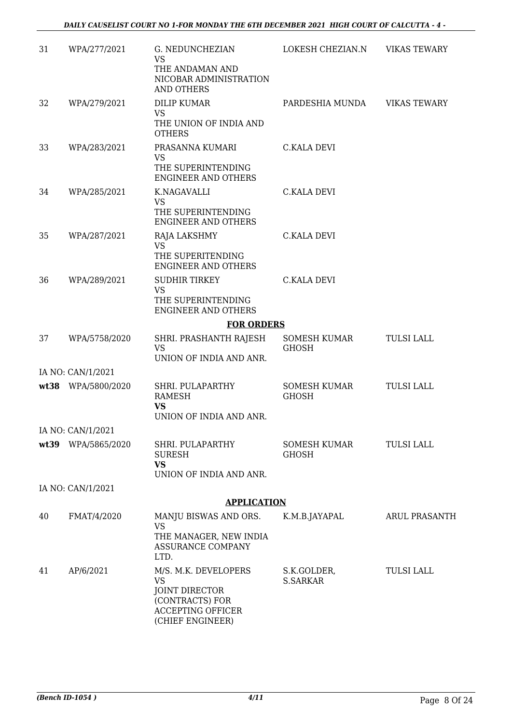| 31 | WPA/277/2021       | G. NEDUNCHEZIAN<br><b>VS</b><br>THE ANDAMAN AND                                                                        | LOKESH CHEZIAN.N               | <b>VIKAS TEWARY</b> |
|----|--------------------|------------------------------------------------------------------------------------------------------------------------|--------------------------------|---------------------|
|    |                    | NICOBAR ADMINISTRATION<br><b>AND OTHERS</b>                                                                            |                                |                     |
| 32 | WPA/279/2021       | <b>DILIP KUMAR</b>                                                                                                     | PARDESHIA MUNDA                | <b>VIKAS TEWARY</b> |
|    |                    | <b>VS</b><br>THE UNION OF INDIA AND<br><b>OTHERS</b>                                                                   |                                |                     |
| 33 | WPA/283/2021       | PRASANNA KUMARI<br><b>VS</b>                                                                                           | <b>C.KALA DEVI</b>             |                     |
|    |                    | THE SUPERINTENDING<br><b>ENGINEER AND OTHERS</b>                                                                       |                                |                     |
| 34 | WPA/285/2021       | K.NAGAVALLI                                                                                                            | C.KALA DEVI                    |                     |
|    |                    | <b>VS</b><br>THE SUPERINTENDING<br><b>ENGINEER AND OTHERS</b>                                                          |                                |                     |
| 35 | WPA/287/2021       | RAJA LAKSHMY<br><b>VS</b>                                                                                              | <b>C.KALA DEVI</b>             |                     |
|    |                    | THE SUPERITENDING<br><b>ENGINEER AND OTHERS</b>                                                                        |                                |                     |
| 36 | WPA/289/2021       | SUDHIR TIRKEY<br><b>VS</b>                                                                                             | <b>C.KALA DEVI</b>             |                     |
|    |                    | THE SUPERINTENDING<br><b>ENGINEER AND OTHERS</b>                                                                       |                                |                     |
|    |                    | <b>FOR ORDERS</b>                                                                                                      |                                |                     |
| 37 | WPA/5758/2020      | SHRI. PRASHANTH RAJESH<br><b>VS</b><br>UNION OF INDIA AND ANR.                                                         | SOMESH KUMAR<br><b>GHOSH</b>   | <b>TULSI LALL</b>   |
|    | IA NO: CAN/1/2021  |                                                                                                                        |                                |                     |
|    | wt38 WPA/5800/2020 | SHRI. PULAPARTHY<br><b>RAMESH</b>                                                                                      | SOMESH KUMAR<br><b>GHOSH</b>   | <b>TULSI LALL</b>   |
|    |                    | <b>VS</b><br>UNION OF INDIA AND ANR.                                                                                   |                                |                     |
|    | IA NO: CAN/1/2021  |                                                                                                                        |                                |                     |
|    | wt39 WPA/5865/2020 | SHRI. PULAPARTHY<br><b>SURESH</b><br><b>VS</b>                                                                         | SOMESH KUMAR<br><b>GHOSH</b>   | <b>TULSI LALL</b>   |
|    |                    | UNION OF INDIA AND ANR.                                                                                                |                                |                     |
|    | IA NO: CAN/1/2021  |                                                                                                                        |                                |                     |
|    |                    | <b>APPLICATION</b>                                                                                                     |                                |                     |
| 40 | FMAT/4/2020        | MANJU BISWAS AND ORS.<br><b>VS</b><br>THE MANAGER, NEW INDIA<br>ASSURANCE COMPANY                                      | K.M.B.JAYAPAL                  | ARUL PRASANTH       |
|    |                    | LTD.                                                                                                                   |                                |                     |
| 41 | AP/6/2021          | M/S. M.K. DEVELOPERS<br><b>VS</b><br>JOINT DIRECTOR<br>(CONTRACTS) FOR<br><b>ACCEPTING OFFICER</b><br>(CHIEF ENGINEER) | S.K.GOLDER,<br><b>S.SARKAR</b> | <b>TULSI LALL</b>   |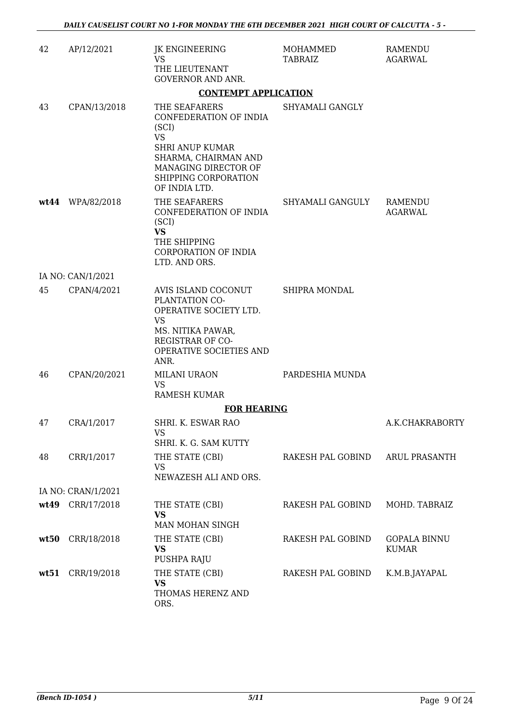| 42   | AP/12/2021         | JK ENGINEERING<br>VS<br>THE LIEUTENANT<br><b>GOVERNOR AND ANR.</b>                                                                                                               | MOHAMMED<br>TABRAIZ  | RAMENDU<br>AGARWAL                  |
|------|--------------------|----------------------------------------------------------------------------------------------------------------------------------------------------------------------------------|----------------------|-------------------------------------|
|      |                    | <b>CONTEMPT APPLICATION</b>                                                                                                                                                      |                      |                                     |
| 43   | CPAN/13/2018       | THE SEAFARERS<br>CONFEDERATION OF INDIA<br>(SCI)<br><b>VS</b><br><b>SHRI ANUP KUMAR</b><br>SHARMA, CHAIRMAN AND<br>MANAGING DIRECTOR OF<br>SHIPPING CORPORATION<br>OF INDIA LTD. | SHYAMALI GANGLY      |                                     |
|      | wt44 WPA/82/2018   | THE SEAFARERS<br>CONFEDERATION OF INDIA<br>(SCI)<br><b>VS</b><br>THE SHIPPING<br><b>CORPORATION OF INDIA</b><br>LTD. AND ORS.                                                    | SHYAMALI GANGULY     | RAMENDU<br><b>AGARWAL</b>           |
|      | IA NO: CAN/1/2021  |                                                                                                                                                                                  |                      |                                     |
| 45   | CPAN/4/2021        | AVIS ISLAND COCONUT<br>PLANTATION CO-<br>OPERATIVE SOCIETY LTD.<br><b>VS</b><br>MS. NITIKA PAWAR,<br>REGISTRAR OF CO-<br>OPERATIVE SOCIETIES AND<br>ANR.                         | <b>SHIPRA MONDAL</b> |                                     |
| 46   | CPAN/20/2021       | MILANI URAON<br><b>VS</b><br>RAMESH KUMAR                                                                                                                                        | PARDESHIA MUNDA      |                                     |
|      |                    | <b>FOR HEARING</b>                                                                                                                                                               |                      |                                     |
| 47   | CRA/1/2017         | SHRI. K. ESWAR RAO<br>VS<br>SHRI. K. G. SAM KUTTY                                                                                                                                |                      | A.K.CHAKRABORTY                     |
| 48   | CRR/1/2017         | THE STATE (CBI)<br><b>VS</b><br>NEWAZESH ALI AND ORS.                                                                                                                            | RAKESH PAL GOBIND    | <b>ARUL PRASANTH</b>                |
|      | IA NO: CRAN/1/2021 |                                                                                                                                                                                  |                      |                                     |
|      | wt49 CRR/17/2018   | THE STATE (CBI)<br><b>VS</b><br>MAN MOHAN SINGH                                                                                                                                  | RAKESH PAL GOBIND    | MOHD. TABRAIZ                       |
| wt50 | CRR/18/2018        | THE STATE (CBI)<br><b>VS</b><br>PUSHPA RAJU                                                                                                                                      | RAKESH PAL GOBIND    | <b>GOPALA BINNU</b><br><b>KUMAR</b> |
| wt51 | CRR/19/2018        | THE STATE (CBI)<br><b>VS</b><br>THOMAS HERENZ AND<br>ORS.                                                                                                                        | RAKESH PAL GOBIND    | K.M.B.JAYAPAL                       |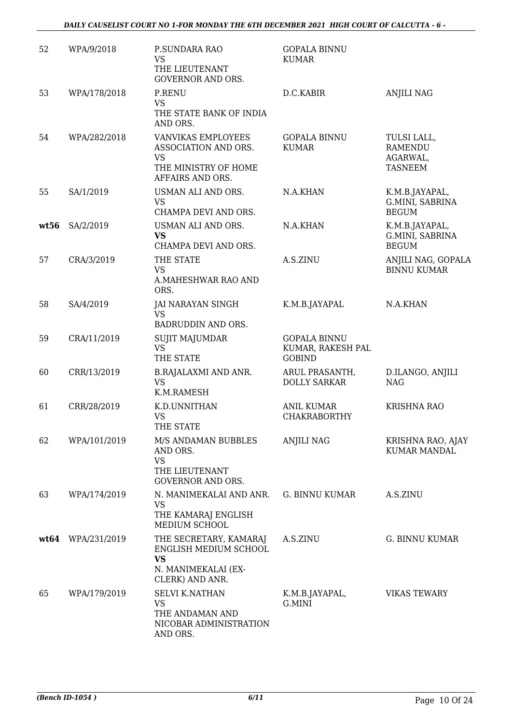| 52   | WPA/9/2018        | P.SUNDARA RAO<br><b>VS</b><br>THE LIEUTENANT<br><b>GOVERNOR AND ORS.</b>                               | <b>GOPALA BINNU</b><br><b>KUMAR</b>                       |                                                             |
|------|-------------------|--------------------------------------------------------------------------------------------------------|-----------------------------------------------------------|-------------------------------------------------------------|
| 53   | WPA/178/2018      | <b>P.RENU</b><br><b>VS</b><br>THE STATE BANK OF INDIA<br>AND ORS.                                      | D.C.KABIR                                                 | <b>ANJILI NAG</b>                                           |
| 54   | WPA/282/2018      | VANVIKAS EMPLOYEES<br>ASSOCIATION AND ORS.<br><b>VS</b><br>THE MINISTRY OF HOME<br>AFFAIRS AND ORS.    | <b>GOPALA BINNU</b><br><b>KUMAR</b>                       | TULSI LALL,<br><b>RAMENDU</b><br>AGARWAL,<br><b>TASNEEM</b> |
| 55   | SA/1/2019         | USMAN ALI AND ORS.<br><b>VS</b><br>CHAMPA DEVI AND ORS.                                                | N.A.KHAN                                                  | K.M.B.JAYAPAL,<br>G.MINI, SABRINA<br><b>BEGUM</b>           |
| wt56 | SA/2/2019         | USMAN ALI AND ORS.<br><b>VS</b><br>CHAMPA DEVI AND ORS.                                                | N.A.KHAN                                                  | K.M.B.JAYAPAL,<br>G.MINI, SABRINA<br><b>BEGUM</b>           |
| 57   | CRA/3/2019        | THE STATE<br><b>VS</b><br>A.MAHESHWAR RAO AND<br>ORS.                                                  | A.S.ZINU                                                  | ANJILI NAG, GOPALA<br><b>BINNU KUMAR</b>                    |
| 58   | SA/4/2019         | JAI NARAYAN SINGH<br><b>VS</b><br>BADRUDDIN AND ORS.                                                   | K.M.B.JAYAPAL                                             | N.A.KHAN                                                    |
| 59   | CRA/11/2019       | <b>SUJIT MAJUMDAR</b><br><b>VS</b><br>THE STATE                                                        | <b>GOPALA BINNU</b><br>KUMAR, RAKESH PAL<br><b>GOBIND</b> |                                                             |
| 60   | CRR/13/2019       | <b>B.RAJALAXMI AND ANR.</b><br><b>VS</b><br>K.M.RAMESH                                                 | ARUL PRASANTH,<br><b>DOLLY SARKAR</b>                     | D.ILANGO, ANJILI<br><b>NAG</b>                              |
| 61   | CRR/28/2019       | K.D.UNNITHAN<br><b>VS</b><br>THE STATE                                                                 | <b>ANIL KUMAR</b><br><b>CHAKRABORTHY</b>                  | <b>KRISHNA RAO</b>                                          |
| 62   | WPA/101/2019      | M/S ANDAMAN BUBBLES<br>AND ORS.<br><b>VS</b><br>THE LIEUTENANT<br><b>GOVERNOR AND ORS.</b>             | <b>ANJILI NAG</b>                                         | KRISHNA RAO, AJAY<br><b>KUMAR MANDAL</b>                    |
| 63   | WPA/174/2019      | N. MANIMEKALAI AND ANR.<br><b>VS</b><br>THE KAMARAJ ENGLISH<br>MEDIUM SCHOOL                           | G. BINNU KUMAR                                            | A.S.ZINU                                                    |
|      | wt64 WPA/231/2019 | THE SECRETARY, KAMARAJ<br>ENGLISH MEDIUM SCHOOL<br><b>VS</b><br>N. MANIMEKALAI (EX-<br>CLERK) AND ANR. | A.S.ZINU                                                  | <b>G. BINNU KUMAR</b>                                       |
| 65   | WPA/179/2019      | <b>SELVI K.NATHAN</b><br><b>VS</b><br>THE ANDAMAN AND<br>NICOBAR ADMINISTRATION<br>AND ORS.            | K.M.B.JAYAPAL,<br>G.MINI                                  | <b>VIKAS TEWARY</b>                                         |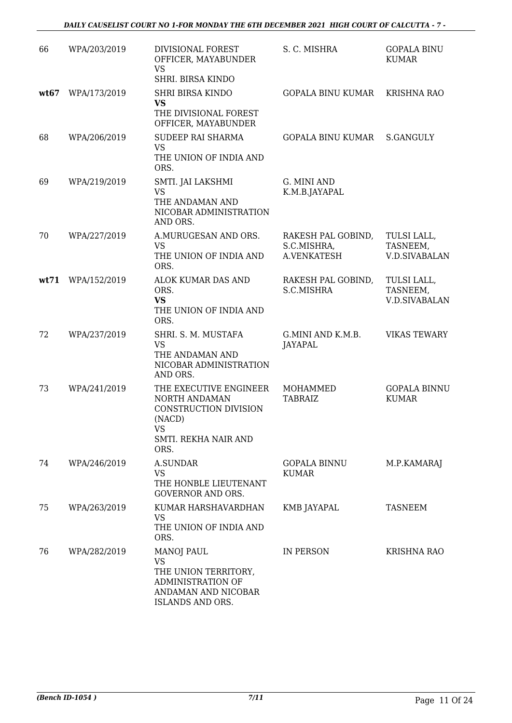| 66   | WPA/203/2019 | DIVISIONAL FOREST<br>OFFICER, MAYABUNDER<br><b>VS</b><br>SHRI. BIRSA KINDO                                              | S. C. MISHRA                                            | <b>GOPALA BINU</b><br><b>KUMAR</b>              |
|------|--------------|-------------------------------------------------------------------------------------------------------------------------|---------------------------------------------------------|-------------------------------------------------|
| wt67 | WPA/173/2019 | <b>SHRI BIRSA KINDO</b><br>VS<br>THE DIVISIONAL FOREST<br>OFFICER, MAYABUNDER                                           | <b>GOPALA BINU KUMAR</b>                                | <b>KRISHNA RAO</b>                              |
| 68   | WPA/206/2019 | <b>SUDEEP RAI SHARMA</b><br><b>VS</b><br>THE UNION OF INDIA AND<br>ORS.                                                 | <b>GOPALA BINU KUMAR</b>                                | S.GANGULY                                       |
| 69   | WPA/219/2019 | SMTI. JAI LAKSHMI<br><b>VS</b><br>THE ANDAMAN AND<br>NICOBAR ADMINISTRATION<br>AND ORS.                                 | G. MINI AND<br>K.M.B.JAYAPAL                            |                                                 |
| 70   | WPA/227/2019 | A.MURUGESAN AND ORS.<br><b>VS</b><br>THE UNION OF INDIA AND<br>ORS.                                                     | RAKESH PAL GOBIND,<br>S.C.MISHRA,<br><b>A.VENKATESH</b> | TULSI LALL,<br>TASNEEM,<br><b>V.D.SIVABALAN</b> |
| wt71 | WPA/152/2019 | ALOK KUMAR DAS AND<br>ORS.<br><b>VS</b><br>THE UNION OF INDIA AND<br>ORS.                                               | RAKESH PAL GOBIND,<br>S.C.MISHRA                        | TULSI LALL,<br>TASNEEM,<br><b>V.D.SIVABALAN</b> |
| 72   | WPA/237/2019 | SHRI. S. M. MUSTAFA<br><b>VS</b><br>THE ANDAMAN AND<br>NICOBAR ADMINISTRATION<br>AND ORS.                               | G.MINI AND K.M.B.<br><b>JAYAPAL</b>                     | <b>VIKAS TEWARY</b>                             |
| 73   | WPA/241/2019 | THE EXECUTIVE ENGINEER<br>NORTH ANDAMAN<br>CONSTRUCTION DIVISION<br>(NACD)<br><b>VS</b><br>SMTI. REKHA NAIR AND<br>ORS. | MOHAMMED<br><b>TABRAIZ</b>                              | <b>GOPALA BINNU</b><br><b>KUMAR</b>             |
| 74   | WPA/246/2019 | <b>A.SUNDAR</b><br><b>VS</b><br>THE HONBLE LIEUTENANT<br><b>GOVERNOR AND ORS.</b>                                       | <b>GOPALA BINNU</b><br><b>KUMAR</b>                     | M.P.KAMARAJ                                     |
| 75   | WPA/263/2019 | KUMAR HARSHAVARDHAN<br><b>VS</b><br>THE UNION OF INDIA AND<br>ORS.                                                      | KMB JAYAPAL                                             | TASNEEM                                         |
| 76   | WPA/282/2019 | <b>MANOJ PAUL</b><br>VS<br>THE UNION TERRITORY,<br>ADMINISTRATION OF<br>ANDAMAN AND NICOBAR<br>ISLANDS AND ORS.         | IN PERSON                                               | KRISHNA RAO                                     |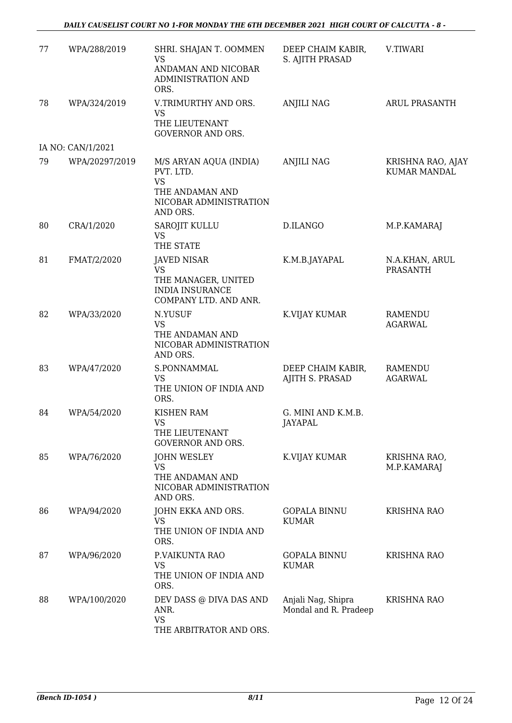| 77 | WPA/288/2019      | SHRI. SHAJAN T. OOMMEN<br><b>VS</b><br>ANDAMAN AND NICOBAR<br>ADMINISTRATION AND<br>ORS.                  | DEEP CHAIM KABIR,<br>S. AJITH PRASAD        | V.TIWARI                                 |
|----|-------------------|-----------------------------------------------------------------------------------------------------------|---------------------------------------------|------------------------------------------|
| 78 | WPA/324/2019      | V.TRIMURTHY AND ORS.<br><b>VS</b><br>THE LIEUTENANT<br><b>GOVERNOR AND ORS.</b>                           | <b>ANJILI NAG</b>                           | <b>ARUL PRASANTH</b>                     |
|    | IA NO: CAN/1/2021 |                                                                                                           |                                             |                                          |
| 79 | WPA/20297/2019    | M/S ARYAN AQUA (INDIA)<br>PVT. LTD.<br><b>VS</b><br>THE ANDAMAN AND<br>NICOBAR ADMINISTRATION<br>AND ORS. | <b>ANJILI NAG</b>                           | KRISHNA RAO, AJAY<br><b>KUMAR MANDAL</b> |
| 80 | CRA/1/2020        | SAROJIT KULLU<br><b>VS</b><br>THE STATE                                                                   | D.ILANGO                                    | M.P.KAMARAJ                              |
| 81 | FMAT/2/2020       | <b>JAVED NISAR</b><br><b>VS</b><br>THE MANAGER, UNITED<br><b>INDIA INSURANCE</b><br>COMPANY LTD. AND ANR. | K.M.B.JAYAPAL                               | N.A.KHAN, ARUL<br><b>PRASANTH</b>        |
| 82 | WPA/33/2020       | N.YUSUF<br><b>VS</b><br>THE ANDAMAN AND<br>NICOBAR ADMINISTRATION<br>AND ORS.                             | K.VIJAY KUMAR                               | <b>RAMENDU</b><br><b>AGARWAL</b>         |
| 83 | WPA/47/2020       | S.PONNAMMAL<br><b>VS</b><br>THE UNION OF INDIA AND<br>ORS.                                                | DEEP CHAIM KABIR,<br>AJITH S. PRASAD        | <b>RAMENDU</b><br><b>AGARWAL</b>         |
| 84 | WPA/54/2020       | <b>KISHEN RAM</b><br><b>VS</b><br>THE LIEUTENANT<br><b>GOVERNOR AND ORS.</b>                              | G. MINI AND K.M.B.<br>JAYAPAL               |                                          |
| 85 | WPA/76/2020       | <b>JOHN WESLEY</b><br>VS<br>THE ANDAMAN AND<br>NICOBAR ADMINISTRATION<br>AND ORS.                         | K.VIJAY KUMAR                               | KRISHNA RAO,<br>M.P.KAMARAJ              |
| 86 | WPA/94/2020       | JOHN EKKA AND ORS.<br><b>VS</b><br>THE UNION OF INDIA AND<br>ORS.                                         | <b>GOPALA BINNU</b><br><b>KUMAR</b>         | <b>KRISHNA RAO</b>                       |
| 87 | WPA/96/2020       | P.VAIKUNTA RAO<br><b>VS</b><br>THE UNION OF INDIA AND<br>ORS.                                             | <b>GOPALA BINNU</b><br><b>KUMAR</b>         | <b>KRISHNA RAO</b>                       |
| 88 | WPA/100/2020      | DEV DASS @ DIVA DAS AND<br>ANR.<br><b>VS</b><br>THE ARBITRATOR AND ORS.                                   | Anjali Nag, Shipra<br>Mondal and R. Pradeep | <b>KRISHNA RAO</b>                       |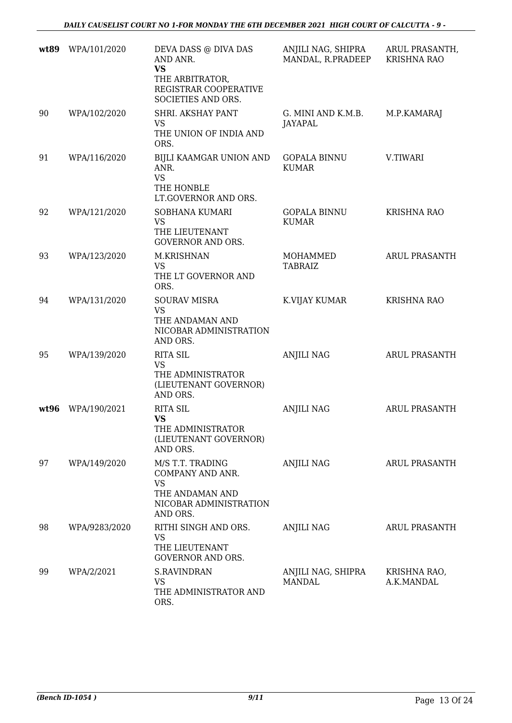| wt89 | WPA/101/2020  | DEVA DASS @ DIVA DAS<br>AND ANR.<br><b>VS</b><br>THE ARBITRATOR,<br>REGISTRAR COOPERATIVE<br>SOCIETIES AND ORS. | ANJILI NAG, SHIPRA<br>MANDAL, R.PRADEEP | ARUL PRASANTH,<br><b>KRISHNA RAO</b> |
|------|---------------|-----------------------------------------------------------------------------------------------------------------|-----------------------------------------|--------------------------------------|
| 90   | WPA/102/2020  | SHRI. AKSHAY PANT<br>VS<br>THE UNION OF INDIA AND<br>ORS.                                                       | G. MINI AND K.M.B.<br>JAYAPAL           | M.P.KAMARAJ                          |
| 91   | WPA/116/2020  | BIJLI KAAMGAR UNION AND<br>ANR.<br><b>VS</b><br>THE HONBLE<br>LT.GOVERNOR AND ORS.                              | <b>GOPALA BINNU</b><br><b>KUMAR</b>     | V.TIWARI                             |
| 92   | WPA/121/2020  | SOBHANA KUMARI<br><b>VS</b><br>THE LIEUTENANT<br><b>GOVERNOR AND ORS.</b>                                       | <b>GOPALA BINNU</b><br><b>KUMAR</b>     | <b>KRISHNA RAO</b>                   |
| 93   | WPA/123/2020  | M.KRISHNAN<br><b>VS</b><br>THE LT GOVERNOR AND<br>ORS.                                                          | MOHAMMED<br><b>TABRAIZ</b>              | ARUL PRASANTH                        |
| 94   | WPA/131/2020  | <b>SOURAV MISRA</b><br><b>VS</b><br>THE ANDAMAN AND<br>NICOBAR ADMINISTRATION<br>AND ORS.                       | K.VIJAY KUMAR                           | <b>KRISHNA RAO</b>                   |
| 95   | WPA/139/2020  | <b>RITA SIL</b><br><b>VS</b><br>THE ADMINISTRATOR<br>(LIEUTENANT GOVERNOR)<br>AND ORS.                          | <b>ANJILI NAG</b>                       | ARUL PRASANTH                        |
| wt96 | WPA/190/2021  | <b>RITA SIL</b><br><b>VS</b><br>THE ADMINISTRATOR<br>(LIEUTENANT GOVERNOR)<br>AND ORS.                          | <b>ANJILI NAG</b>                       | <b>ARUL PRASANTH</b>                 |
| 97   | WPA/149/2020  | M/S T.T. TRADING<br>COMPANY AND ANR.<br><b>VS</b><br>THE ANDAMAN AND<br>NICOBAR ADMINISTRATION<br>AND ORS.      | <b>ANJILI NAG</b>                       | ARUL PRASANTH                        |
| 98   | WPA/9283/2020 | RITHI SINGH AND ORS.<br><b>VS</b><br>THE LIEUTENANT<br><b>GOVERNOR AND ORS.</b>                                 | <b>ANJILI NAG</b>                       | <b>ARUL PRASANTH</b>                 |
| 99   | WPA/2/2021    | <b>S.RAVINDRAN</b><br><b>VS</b><br>THE ADMINISTRATOR AND<br>ORS.                                                | ANJILI NAG, SHIPRA<br><b>MANDAL</b>     | KRISHNA RAO,<br>A.K.MANDAL           |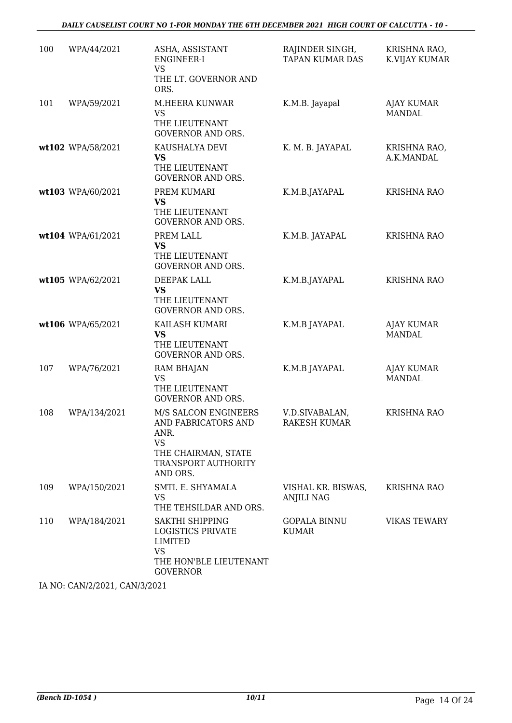#### *DAILY CAUSELIST COURT NO 1-FOR MONDAY THE 6TH DECEMBER 2021 HIGH COURT OF CALCUTTA - 10 -*

| 100 | WPA/44/2021       | ASHA, ASSISTANT<br><b>ENGINEER-I</b>                                                                                              | RAJINDER SINGH,<br><b>TAPAN KUMAR DAS</b> | KRISHNA RAO,<br><b>K.VIJAY KUMAR</b> |
|-----|-------------------|-----------------------------------------------------------------------------------------------------------------------------------|-------------------------------------------|--------------------------------------|
|     |                   | <b>VS</b><br>THE LT. GOVERNOR AND<br>ORS.                                                                                         |                                           |                                      |
| 101 | WPA/59/2021       | M.HEERA KUNWAR<br><b>VS</b><br>THE LIEUTENANT<br><b>GOVERNOR AND ORS.</b>                                                         | K.M.B. Jayapal                            | <b>AJAY KUMAR</b><br><b>MANDAL</b>   |
|     | wt102 WPA/58/2021 | KAUSHALYA DEVI<br>VS<br>THE LIEUTENANT<br><b>GOVERNOR AND ORS.</b>                                                                | K. M. B. JAYAPAL                          | KRISHNA RAO,<br>A.K.MANDAL           |
|     | wt103 WPA/60/2021 | PREM KUMARI<br><b>VS</b><br>THE LIEUTENANT<br><b>GOVERNOR AND ORS.</b>                                                            | K.M.B.JAYAPAL                             | <b>KRISHNA RAO</b>                   |
|     | wt104 WPA/61/2021 | PREM LALL<br><b>VS</b><br>THE LIEUTENANT<br><b>GOVERNOR AND ORS.</b>                                                              | K.M.B. JAYAPAL                            | <b>KRISHNA RAO</b>                   |
|     | wt105 WPA/62/2021 | DEEPAK LALL<br><b>VS</b><br>THE LIEUTENANT<br><b>GOVERNOR AND ORS.</b>                                                            | K.M.B.JAYAPAL                             | KRISHNA RAO                          |
|     | wt106 WPA/65/2021 | KAILASH KUMARI<br><b>VS</b><br>THE LIEUTENANT<br><b>GOVERNOR AND ORS.</b>                                                         | K.M.B JAYAPAL                             | <b>AJAY KUMAR</b><br><b>MANDAL</b>   |
| 107 | WPA/76/2021       | <b>RAM BHAJAN</b><br><b>VS</b><br>THE LIEUTENANT<br><b>GOVERNOR AND ORS.</b>                                                      | K.M.B JAYAPAL                             | <b>AJAY KUMAR</b><br><b>MANDAL</b>   |
| 108 | WPA/134/2021      | M/S SALCON ENGINEERS<br>AND FABRICATORS AND<br>ANR.<br><b>VS</b><br>THE CHAIRMAN, STATE<br><b>TRANSPORT AUTHORITY</b><br>AND ORS. | V.D.SIVABALAN,<br><b>RAKESH KUMAR</b>     | <b>KRISHNA RAO</b>                   |
| 109 | WPA/150/2021      | SMTI. E. SHYAMALA<br><b>VS</b><br>THE TEHSILDAR AND ORS.                                                                          | VISHAL KR. BISWAS,<br>ANJILI NAG          | <b>KRISHNA RAO</b>                   |
| 110 | WPA/184/2021      | <b>SAKTHI SHIPPING</b><br><b>LOGISTICS PRIVATE</b><br><b>LIMITED</b><br><b>VS</b><br>THE HON'BLE LIEUTENANT<br><b>GOVERNOR</b>    | <b>GOPALA BINNU</b><br><b>KUMAR</b>       | <b>VIKAS TEWARY</b>                  |

IA NO: CAN/2/2021, CAN/3/2021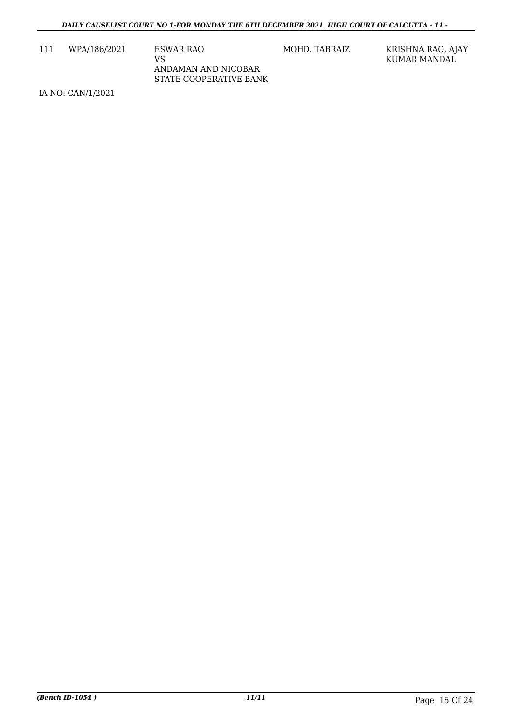111 WPA/186/2021 ESWAR RAO

VS ANDAMAN AND NICOBAR STATE COOPERATIVE BANK

MOHD. TABRAIZ KRISHNA RAO, AJAY KUMAR MANDAL

IA NO: CAN/1/2021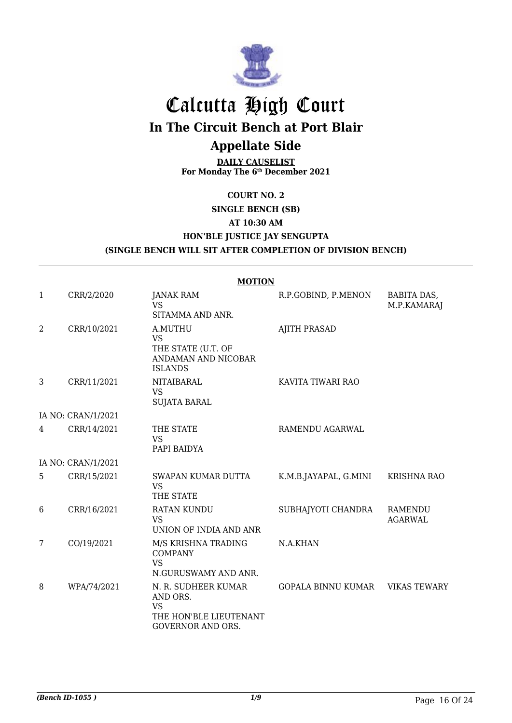

# Calcutta High Court

**In The Circuit Bench at Port Blair**

# **Appellate Side**

**DAILY CAUSELIST For Monday The 6th December 2021**

### **COURT NO. 2**

### **SINGLE BENCH (SB)**

### **AT 10:30 AM**

### **HON'BLE JUSTICE JAY SENGUPTA**

### **(SINGLE BENCH WILL SIT AFTER COMPLETION OF DIVISION BENCH)**

|   |                    | <b>MOTION</b>                                                                               |                       |                                  |
|---|--------------------|---------------------------------------------------------------------------------------------|-----------------------|----------------------------------|
| 1 | CRR/2/2020         | <b>JANAK RAM</b><br><b>VS</b>                                                               | R.P.GOBIND, P.MENON   | BABITA DAS,<br>M.P.KAMARAJ       |
|   |                    | SITAMMA AND ANR.                                                                            |                       |                                  |
| 2 | CRR/10/2021        | A.MUTHU<br><b>VS</b><br>THE STATE (U.T. OF<br>ANDAMAN AND NICOBAR<br><b>ISLANDS</b>         | <b>AJITH PRASAD</b>   |                                  |
| 3 | CRR/11/2021        | <b>NITAIBARAL</b><br><b>VS</b><br><b>SUJATA BARAL</b>                                       | KAVITA TIWARI RAO     |                                  |
|   | IA NO: CRAN/1/2021 |                                                                                             |                       |                                  |
| 4 | CRR/14/2021        | THE STATE<br><b>VS</b><br>PAPI BAIDYA                                                       | RAMENDU AGARWAL       |                                  |
|   | IA NO: CRAN/1/2021 |                                                                                             |                       |                                  |
| 5 | CRR/15/2021        | SWAPAN KUMAR DUTTA<br><b>VS</b><br>THE STATE                                                | K.M.B.JAYAPAL, G.MINI | <b>KRISHNA RAO</b>               |
| 6 | CRR/16/2021        | <b>RATAN KUNDU</b><br><b>VS</b><br>UNION OF INDIA AND ANR                                   | SUBHAJYOTI CHANDRA    | <b>RAMENDU</b><br><b>AGARWAL</b> |
| 7 | CO/19/2021         | M/S KRISHNA TRADING<br><b>COMPANY</b><br><b>VS</b><br>N.GURUSWAMY AND ANR.                  | N.A.KHAN              |                                  |
| 8 | WPA/74/2021        | N. R. SUDHEER KUMAR<br>AND ORS.<br><b>VS</b><br>THE HON'BLE LIEUTENANT<br>GOVERNOR AND ORS. | GOPALA BINNU KUMAR    | <b>VIKAS TEWARY</b>              |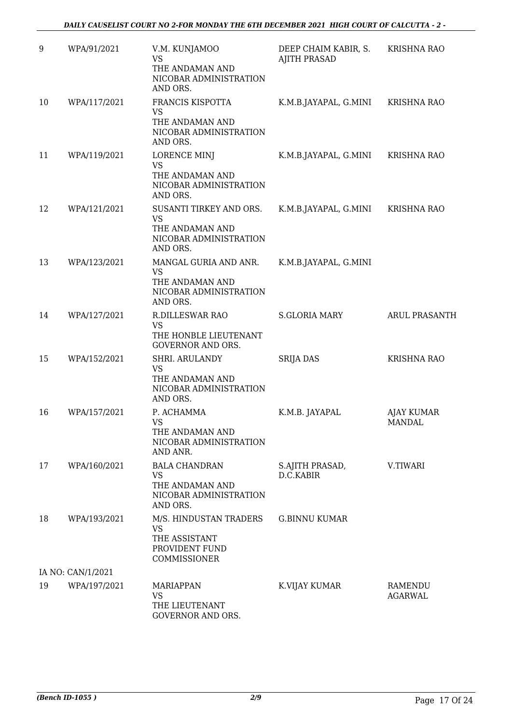| 9  | WPA/91/2021       | V.M. KUNJAMOO<br><b>VS</b><br>THE ANDAMAN AND<br>NICOBAR ADMINISTRATION<br>AND ORS.           | DEEP CHAIM KABIR, S.<br><b>AJITH PRASAD</b> | <b>KRISHNA RAO</b>        |
|----|-------------------|-----------------------------------------------------------------------------------------------|---------------------------------------------|---------------------------|
| 10 | WPA/117/2021      | FRANCIS KISPOTTA<br><b>VS</b><br>THE ANDAMAN AND<br>NICOBAR ADMINISTRATION<br>AND ORS.        | K.M.B.JAYAPAL, G.MINI                       | <b>KRISHNA RAO</b>        |
| 11 | WPA/119/2021      | LORENCE MINJ<br><b>VS</b><br>THE ANDAMAN AND<br>NICOBAR ADMINISTRATION<br>AND ORS.            | K.M.B.JAYAPAL, G.MINI                       | <b>KRISHNA RAO</b>        |
| 12 | WPA/121/2021      | SUSANTI TIRKEY AND ORS.<br><b>VS</b><br>THE ANDAMAN AND<br>NICOBAR ADMINISTRATION<br>AND ORS. | K.M.B.JAYAPAL, G.MINI                       | <b>KRISHNA RAO</b>        |
| 13 | WPA/123/2021      | MANGAL GURIA AND ANR.<br><b>VS</b><br>THE ANDAMAN AND<br>NICOBAR ADMINISTRATION<br>AND ORS.   | K.M.B.JAYAPAL, G.MINI                       |                           |
| 14 | WPA/127/2021      | <b>R.DILLESWAR RAO</b><br>VS<br>THE HONBLE LIEUTENANT<br><b>GOVERNOR AND ORS.</b>             | <b>S.GLORIA MARY</b>                        | <b>ARUL PRASANTH</b>      |
| 15 | WPA/152/2021      | SHRI. ARULANDY<br><b>VS</b><br>THE ANDAMAN AND<br>NICOBAR ADMINISTRATION<br>AND ORS.          | <b>SRIJA DAS</b>                            | <b>KRISHNA RAO</b>        |
| 16 | WPA/157/2021      | P. ACHAMMA<br><b>VS</b><br>THE ANDAMAN AND<br>NICOBAR ADMINISTRATION<br>AND ANR.              | K.M.B. JAYAPAL                              | AJAY KUMAR<br>MANDAL      |
| 17 | WPA/160/2021      | <b>BALA CHANDRAN</b><br>VS.<br>THE ANDAMAN AND<br>NICOBAR ADMINISTRATION<br>AND ORS.          | S.AJITH PRASAD,<br>D.C.KABIR                | V.TIWARI                  |
| 18 | WPA/193/2021      | M/S. HINDUSTAN TRADERS<br>VS<br>THE ASSISTANT<br>PROVIDENT FUND<br>COMMISSIONER               | <b>G.BINNU KUMAR</b>                        |                           |
|    | IA NO: CAN/1/2021 |                                                                                               |                                             |                           |
| 19 | WPA/197/2021      | <b>MARIAPPAN</b><br>VS<br>THE LIEUTENANT<br>GOVERNOR AND ORS.                                 | K.VIJAY KUMAR                               | RAMENDU<br><b>AGARWAL</b> |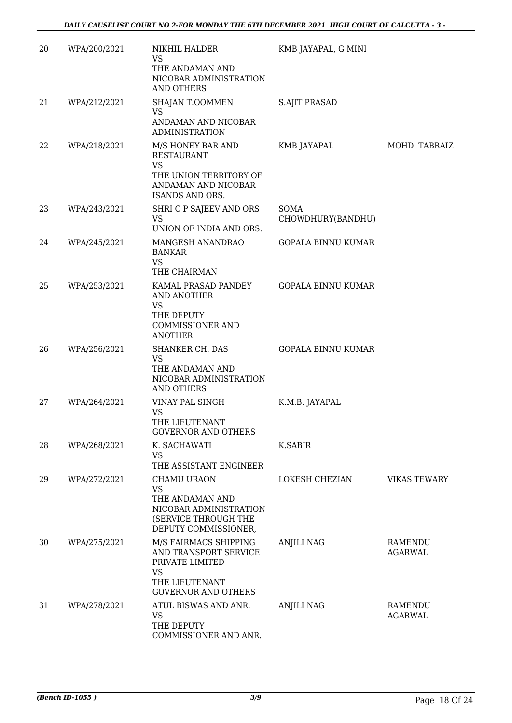| 20 | WPA/200/2021 | NIKHIL HALDER<br>VS<br>THE ANDAMAN AND<br>NICOBAR ADMINISTRATION<br><b>AND OTHERS</b>                                          | KMB JAYAPAL, G MINI       |                           |
|----|--------------|--------------------------------------------------------------------------------------------------------------------------------|---------------------------|---------------------------|
| 21 | WPA/212/2021 | SHAJAN T.OOMMEN<br>VS<br>ANDAMAN AND NICOBAR<br><b>ADMINISTRATION</b>                                                          | <b>S.AJIT PRASAD</b>      |                           |
| 22 | WPA/218/2021 | M/S HONEY BAR AND<br><b>RESTAURANT</b><br><b>VS</b><br>THE UNION TERRITORY OF<br>ANDAMAN AND NICOBAR<br><b>ISANDS AND ORS.</b> | KMB JAYAPAL               | MOHD. TABRAIZ             |
| 23 | WPA/243/2021 | SHRI C P SAJEEV AND ORS<br><b>VS</b><br>UNION OF INDIA AND ORS.                                                                | SOMA<br>CHOWDHURY(BANDHU) |                           |
| 24 | WPA/245/2021 | MANGESH ANANDRAO<br><b>BANKAR</b><br>VS<br>THE CHAIRMAN                                                                        | <b>GOPALA BINNU KUMAR</b> |                           |
| 25 | WPA/253/2021 | KAMAL PRASAD PANDEY<br>AND ANOTHER<br><b>VS</b><br>THE DEPUTY<br><b>COMMISSIONER AND</b><br><b>ANOTHER</b>                     | <b>GOPALA BINNU KUMAR</b> |                           |
| 26 | WPA/256/2021 | SHANKER CH. DAS<br>VS<br>THE ANDAMAN AND<br>NICOBAR ADMINISTRATION<br><b>AND OTHERS</b>                                        | <b>GOPALA BINNU KUMAR</b> |                           |
| 27 | WPA/264/2021 | VINAY PAL SINGH<br><b>VS</b><br>THE LIEUTENANT<br><b>GOVERNOR AND OTHERS</b>                                                   | K.M.B. JAYAPAL            |                           |
| 28 | WPA/268/2021 | K. SACHAWATI<br><b>VS</b><br>THE ASSISTANT ENGINEER                                                                            | <b>K.SABIR</b>            |                           |
| 29 | WPA/272/2021 | CHAMU URAON<br>VS<br>THE ANDAMAN AND<br>NICOBAR ADMINISTRATION<br>(SERVICE THROUGH THE<br>DEPUTY COMMISSIONER,                 | LOKESH CHEZIAN            | <b>VIKAS TEWARY</b>       |
| 30 | WPA/275/2021 | M/S FAIRMACS SHIPPING<br>AND TRANSPORT SERVICE<br>PRIVATE LIMITED<br><b>VS</b><br>THE LIEUTENANT<br><b>GOVERNOR AND OTHERS</b> | <b>ANJILI NAG</b>         | RAMENDU<br><b>AGARWAL</b> |
| 31 | WPA/278/2021 | ATUL BISWAS AND ANR.<br><b>VS</b><br>THE DEPUTY<br>COMMISSIONER AND ANR.                                                       | <b>ANJILI NAG</b>         | RAMENDU<br><b>AGARWAL</b> |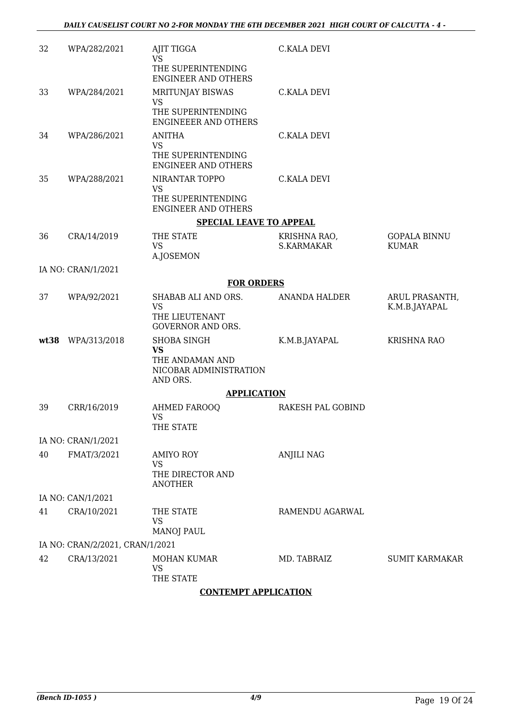| 32   | WPA/282/2021                    | AJIT TIGGA<br><b>VS</b>                                                                  | <b>C.KALA DEVI</b>                |                                     |
|------|---------------------------------|------------------------------------------------------------------------------------------|-----------------------------------|-------------------------------------|
|      |                                 | THE SUPERINTENDING<br><b>ENGINEER AND OTHERS</b>                                         |                                   |                                     |
| 33   | WPA/284/2021                    | MRITUNJAY BISWAS<br><b>VS</b>                                                            | <b>C.KALA DEVI</b>                |                                     |
|      |                                 | THE SUPERINTENDING<br><b>ENGINEEER AND OTHERS</b>                                        |                                   |                                     |
| 34   | WPA/286/2021                    | <b>ANITHA</b><br><b>VS</b><br>THE SUPERINTENDING<br><b>ENGINEER AND OTHERS</b>           | <b>C.KALA DEVI</b>                |                                     |
| 35   | WPA/288/2021                    | NIRANTAR TOPPO<br><b>VS</b><br>THE SUPERINTENDING<br><b>ENGINEER AND OTHERS</b>          | <b>C.KALA DEVI</b>                |                                     |
|      |                                 | <b>SPECIAL LEAVE TO APPEAL</b>                                                           |                                   |                                     |
| 36   | CRA/14/2019                     | THE STATE<br><b>VS</b><br><b>A.JOSEMON</b>                                               | KRISHNA RAO,<br><b>S.KARMAKAR</b> | <b>GOPALA BINNU</b><br><b>KUMAR</b> |
|      | IA NO: CRAN/1/2021              |                                                                                          |                                   |                                     |
|      |                                 | <b>FOR ORDERS</b>                                                                        |                                   |                                     |
| 37   | WPA/92/2021                     | SHABAB ALI AND ORS.<br><b>VS</b><br>THE LIEUTENANT<br><b>GOVERNOR AND ORS.</b>           | ANANDA HALDER                     | ARUL PRASANTH,<br>K.M.B.JAYAPAL     |
| wt38 | WPA/313/2018                    | <b>SHOBA SINGH</b><br><b>VS</b><br>THE ANDAMAN AND<br>NICOBAR ADMINISTRATION<br>AND ORS. | K.M.B.JAYAPAL                     | <b>KRISHNA RAO</b>                  |
|      |                                 | <b>APPLICATION</b>                                                                       |                                   |                                     |
| 39   | CRR/16/2019                     | <b>AHMED FAROOQ</b><br><b>VS</b><br>THE STATE                                            | RAKESH PAL GOBIND                 |                                     |
|      | IA NO: CRAN/1/2021              |                                                                                          |                                   |                                     |
| 40   | FMAT/3/2021                     | <b>AMIYO ROY</b><br><b>VS</b><br>THE DIRECTOR AND<br><b>ANOTHER</b>                      | <b>ANJILI NAG</b>                 |                                     |
|      | IA NO: CAN/1/2021               |                                                                                          |                                   |                                     |
| 41   | CRA/10/2021                     | THE STATE<br><b>VS</b><br><b>MANOJ PAUL</b>                                              | RAMENDU AGARWAL                   |                                     |
|      | IA NO: CRAN/2/2021, CRAN/1/2021 |                                                                                          |                                   |                                     |
| 42   | CRA/13/2021                     | MOHAN KUMAR<br><b>VS</b><br>THE STATE                                                    | MD. TABRAIZ                       | <b>SUMIT KARMAKAR</b>               |

### **CONTEMPT APPLICATION**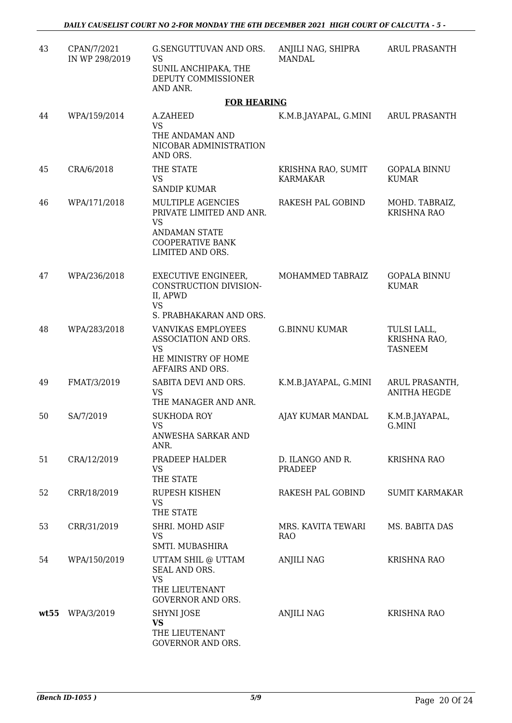| 43   | CPAN/7/2021<br>IN WP 298/2019 | G.SENGUTTUVAN AND ORS.<br>VS<br>SUNIL ANCHIPAKA, THE<br>DEPUTY COMMISSIONER<br>AND ANR.                                           | ANJILI NAG, SHIPRA<br><b>MANDAL</b>   | ARUL PRASANTH                                 |
|------|-------------------------------|-----------------------------------------------------------------------------------------------------------------------------------|---------------------------------------|-----------------------------------------------|
|      |                               | <b>FOR HEARING</b>                                                                                                                |                                       |                                               |
| 44   | WPA/159/2014                  | A.ZAHEED<br><b>VS</b><br>THE ANDAMAN AND<br>NICOBAR ADMINISTRATION<br>AND ORS.                                                    | K.M.B.JAYAPAL, G.MINI                 | <b>ARUL PRASANTH</b>                          |
| 45   | CRA/6/2018                    | THE STATE<br><b>VS</b><br><b>SANDIP KUMAR</b>                                                                                     | KRISHNA RAO, SUMIT<br><b>KARMAKAR</b> | <b>GOPALA BINNU</b><br><b>KUMAR</b>           |
| 46   | WPA/171/2018                  | MULTIPLE AGENCIES<br>PRIVATE LIMITED AND ANR.<br><b>VS</b><br><b>ANDAMAN STATE</b><br><b>COOPERATIVE BANK</b><br>LIMITED AND ORS. | RAKESH PAL GOBIND                     | MOHD. TABRAIZ,<br><b>KRISHNA RAO</b>          |
| 47   | WPA/236/2018                  | <b>EXECUTIVE ENGINEER,</b><br>CONSTRUCTION DIVISION-<br>II, APWD<br><b>VS</b>                                                     | MOHAMMED TABRAIZ                      | <b>GOPALA BINNU</b><br><b>KUMAR</b>           |
| 48   | WPA/283/2018                  | S. PRABHAKARAN AND ORS.<br>VANVIKAS EMPLOYEES<br>ASSOCIATION AND ORS.<br><b>VS</b><br>HE MINISTRY OF HOME<br>AFFAIRS AND ORS.     | <b>G.BINNU KUMAR</b>                  | TULSI LALL,<br>KRISHNA RAO,<br><b>TASNEEM</b> |
| 49   | FMAT/3/2019                   | SABITA DEVI AND ORS.<br>VS<br>THE MANAGER AND ANR.                                                                                | K.M.B.JAYAPAL, G.MINI                 | ARUL PRASANTH,<br><b>ANITHA HEGDE</b>         |
| 50   | SA/7/2019                     | <b>SUKHODA ROY</b><br>VS.<br>ANWESHA SARKAR AND<br>ANR.                                                                           | AJAY KUMAR MANDAL                     | K.M.B.JAYAPAL,<br>G.MINI                      |
| 51   | CRA/12/2019                   | PRADEEP HALDER<br>VS<br>THE STATE                                                                                                 | D. ILANGO AND R.<br>PRADEEP           | <b>KRISHNA RAO</b>                            |
| 52   | CRR/18/2019                   | <b>RUPESH KISHEN</b><br><b>VS</b><br>THE STATE                                                                                    | RAKESH PAL GOBIND                     | <b>SUMIT KARMAKAR</b>                         |
| 53   | CRR/31/2019                   | SHRI. MOHD ASIF<br><b>VS</b><br>SMTI. MUBASHIRA                                                                                   | MRS. KAVITA TEWARI<br><b>RAO</b>      | MS. BABITA DAS                                |
| 54   | WPA/150/2019                  | UTTAM SHIL @ UTTAM<br>SEAL AND ORS.<br><b>VS</b><br>THE LIEUTENANT<br><b>GOVERNOR AND ORS.</b>                                    | <b>ANJILI NAG</b>                     | <b>KRISHNA RAO</b>                            |
| wt55 | WPA/3/2019                    | SHYNI JOSE<br><b>VS</b><br>THE LIEUTENANT<br>GOVERNOR AND ORS.                                                                    | <b>ANJILI NAG</b>                     | <b>KRISHNA RAO</b>                            |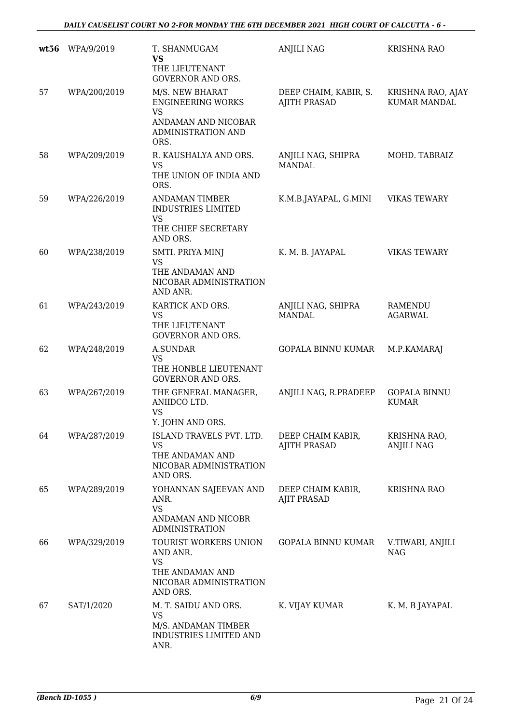| wt56 | WPA/9/2019   | T. SHANMUGAM<br><b>VS</b><br>THE LIEUTENANT<br><b>GOVERNOR AND ORS.</b>                                 | <b>ANJILI NAG</b>                            | <b>KRISHNA RAO</b>                       |
|------|--------------|---------------------------------------------------------------------------------------------------------|----------------------------------------------|------------------------------------------|
| 57   | WPA/200/2019 | M/S. NEW BHARAT<br><b>ENGINEERING WORKS</b><br><b>VS</b>                                                | DEEP CHAIM, KABIR, S.<br><b>AJITH PRASAD</b> | KRISHNA RAO, AJAY<br><b>KUMAR MANDAL</b> |
|      |              | ANDAMAN AND NICOBAR<br><b>ADMINISTRATION AND</b><br>ORS.                                                |                                              |                                          |
| 58   | WPA/209/2019 | R. KAUSHALYA AND ORS.<br><b>VS</b><br>THE UNION OF INDIA AND<br>ORS.                                    | ANJILI NAG, SHIPRA<br><b>MANDAL</b>          | MOHD. TABRAIZ                            |
| 59   | WPA/226/2019 | <b>ANDAMAN TIMBER</b><br><b>INDUSTRIES LIMITED</b><br><b>VS</b><br>THE CHIEF SECRETARY<br>AND ORS.      | K.M.B.JAYAPAL, G.MINI                        | <b>VIKAS TEWARY</b>                      |
| 60   | WPA/238/2019 | SMTI. PRIYA MINJ<br><b>VS</b><br>THE ANDAMAN AND<br>NICOBAR ADMINISTRATION<br>AND ANR.                  | K. M. B. JAYAPAL                             | <b>VIKAS TEWARY</b>                      |
| 61   | WPA/243/2019 | KARTICK AND ORS.<br><b>VS</b><br>THE LIEUTENANT<br><b>GOVERNOR AND ORS.</b>                             | ANJILI NAG, SHIPRA<br><b>MANDAL</b>          | <b>RAMENDU</b><br><b>AGARWAL</b>         |
| 62   | WPA/248/2019 | A.SUNDAR<br><b>VS</b><br>THE HONBLE LIEUTENANT<br><b>GOVERNOR AND ORS.</b>                              | <b>GOPALA BINNU KUMAR</b>                    | M.P.KAMARAJ                              |
| 63   | WPA/267/2019 | THE GENERAL MANAGER,<br>ANIIDCO LTD.<br><b>VS</b><br>Y. JOHN AND ORS.                                   | ANJILI NAG, R.PRADEEP                        | <b>GOPALA BINNU</b><br><b>KUMAR</b>      |
| 64   | WPA/287/2019 | ISLAND TRAVELS PVT. LTD.<br>VS<br>THE ANDAMAN AND<br>NICOBAR ADMINISTRATION<br>AND ORS.                 | DEEP CHAIM KABIR,<br><b>AJITH PRASAD</b>     | KRISHNA RAO,<br><b>ANJILI NAG</b>        |
| 65   | WPA/289/2019 | YOHANNAN SAJEEVAN AND<br>ANR.<br><b>VS</b><br>ANDAMAN AND NICOBR<br><b>ADMINISTRATION</b>               | DEEP CHAIM KABIR,<br><b>AJIT PRASAD</b>      | <b>KRISHNA RAO</b>                       |
| 66   | WPA/329/2019 | TOURIST WORKERS UNION<br>AND ANR.<br><b>VS</b><br>THE ANDAMAN AND<br>NICOBAR ADMINISTRATION<br>AND ORS. | GOPALA BINNU KUMAR                           | V.TIWARI, ANJILI<br><b>NAG</b>           |
| 67   | SAT/1/2020   | M. T. SAIDU AND ORS.<br><b>VS</b><br>M/S. ANDAMAN TIMBER<br>INDUSTRIES LIMITED AND<br>ANR.              | K. VIJAY KUMAR                               | K. M. B JAYAPAL                          |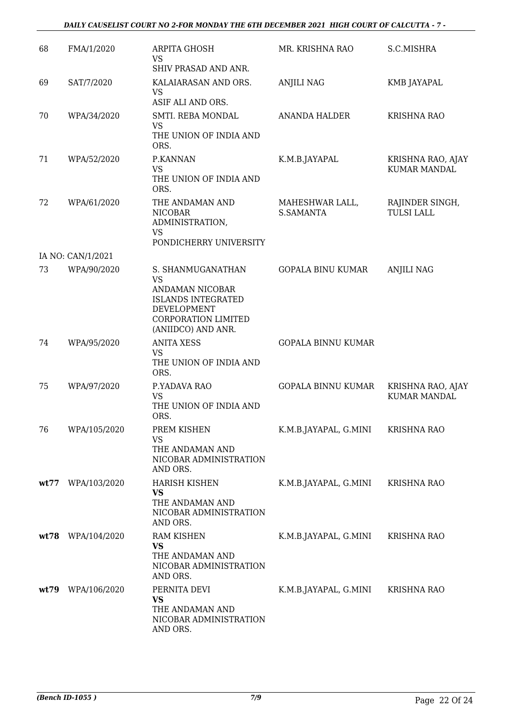### *DAILY CAUSELIST COURT NO 2-FOR MONDAY THE 6TH DECEMBER 2021 HIGH COURT OF CALCUTTA - 7 -*

| 68   | FMA/1/2020        | ARPITA GHOSH<br>VS<br>SHIV PRASAD AND ANR.                                                                                                               | MR. KRISHNA RAO              | S.C.MISHRA                               |
|------|-------------------|----------------------------------------------------------------------------------------------------------------------------------------------------------|------------------------------|------------------------------------------|
| 69   | SAT/7/2020        | KALAIARASAN AND ORS.<br><b>VS</b><br>ASIF ALI AND ORS.                                                                                                   | <b>ANJILI NAG</b>            | KMB JAYAPAL                              |
| 70   | WPA/34/2020       | SMTI. REBA MONDAL<br><b>VS</b><br>THE UNION OF INDIA AND<br>ORS.                                                                                         | <b>ANANDA HALDER</b>         | <b>KRISHNA RAO</b>                       |
| 71   | WPA/52/2020       | P.KANNAN<br><b>VS</b><br>THE UNION OF INDIA AND<br>ORS.                                                                                                  | K.M.B.JAYAPAL                | KRISHNA RAO, AJAY<br><b>KUMAR MANDAL</b> |
| 72   | WPA/61/2020       | THE ANDAMAN AND<br><b>NICOBAR</b><br>ADMINISTRATION,<br>VS<br>PONDICHERRY UNIVERSITY                                                                     | MAHESHWAR LALL,<br>S.SAMANTA | RAJINDER SINGH,<br><b>TULSI LALL</b>     |
|      | IA NO: CAN/1/2021 |                                                                                                                                                          |                              |                                          |
| 73   | WPA/90/2020       | S. SHANMUGANATHAN<br><b>VS</b><br>ANDAMAN NICOBAR<br><b>ISLANDS INTEGRATED</b><br><b>DEVELOPMENT</b><br><b>CORPORATION LIMITED</b><br>(ANIIDCO) AND ANR. | <b>GOPALA BINU KUMAR</b>     | <b>ANJILI NAG</b>                        |
| 74   | WPA/95/2020       | <b>ANITA XESS</b><br><b>VS</b><br>THE UNION OF INDIA AND<br>ORS.                                                                                         | <b>GOPALA BINNU KUMAR</b>    |                                          |
| 75   | WPA/97/2020       | P.YADAVA RAO<br><b>VS</b><br>THE UNION OF INDIA AND<br>ORS.                                                                                              | GOPALA BINNU KUMAR           | KRISHNA RAO, AJAY<br><b>KUMAR MANDAL</b> |
| 76   | WPA/105/2020      | PREM KISHEN<br>VS<br>THE ANDAMAN AND<br>NICOBAR ADMINISTRATION<br>AND ORS.                                                                               | K.M.B.JAYAPAL, G.MINI        | <b>KRISHNA RAO</b>                       |
| wt77 | WPA/103/2020      | <b>HARISH KISHEN</b><br><b>VS</b><br>THE ANDAMAN AND<br>NICOBAR ADMINISTRATION<br>AND ORS.                                                               | K.M.B.JAYAPAL, G.MINI        | <b>KRISHNA RAO</b>                       |
|      | wt78 WPA/104/2020 | <b>RAM KISHEN</b><br><b>VS</b><br>THE ANDAMAN AND<br>NICOBAR ADMINISTRATION<br>AND ORS.                                                                  | K.M.B.JAYAPAL, G.MINI        | <b>KRISHNA RAO</b>                       |
| wt79 | WPA/106/2020      | PERNITA DEVI<br><b>VS</b><br>THE ANDAMAN AND<br>NICOBAR ADMINISTRATION<br>AND ORS.                                                                       | K.M.B.JAYAPAL, G.MINI        | <b>KRISHNA RAO</b>                       |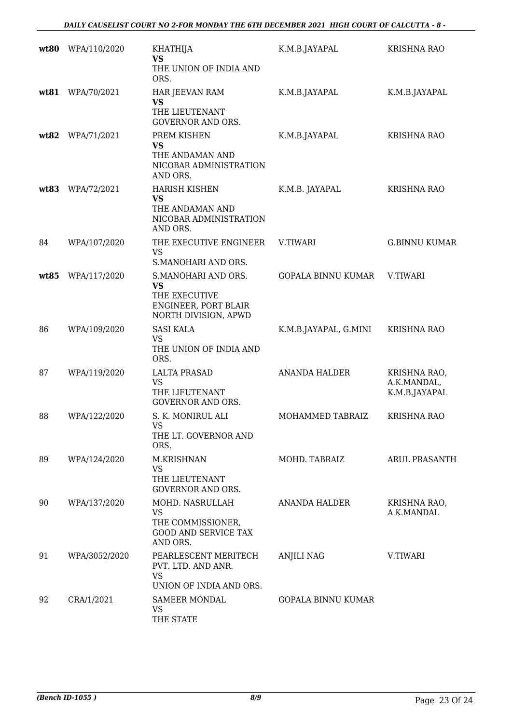| wt80 | WPA/110/2020  | <b>KHATHIJA</b><br><b>VS</b><br>THE UNION OF INDIA AND                                            | K.M.B.JAYAPAL             | <b>KRISHNA RAO</b>                           |
|------|---------------|---------------------------------------------------------------------------------------------------|---------------------------|----------------------------------------------|
|      |               | ORS.                                                                                              |                           |                                              |
| wt81 | WPA/70/2021   | HAR JEEVAN RAM<br><b>VS</b><br>THE LIEUTENANT<br><b>GOVERNOR AND ORS.</b>                         | K.M.B.JAYAPAL             | K.M.B.JAYAPAL                                |
| wt82 | WPA/71/2021   | PREM KISHEN<br><b>VS</b><br>THE ANDAMAN AND<br>NICOBAR ADMINISTRATION<br>AND ORS.                 | K.M.B.JAYAPAL             | <b>KRISHNA RAO</b>                           |
| wt83 | WPA/72/2021   | <b>HARISH KISHEN</b><br><b>VS</b><br>THE ANDAMAN AND<br>NICOBAR ADMINISTRATION<br>AND ORS.        | K.M.B. JAYAPAL            | <b>KRISHNA RAO</b>                           |
| 84   | WPA/107/2020  | THE EXECUTIVE ENGINEER<br>VS<br>S.MANOHARI AND ORS.                                               | <b>V.TIWARI</b>           | <b>G.BINNU KUMAR</b>                         |
| wt85 | WPA/117/2020  | S.MANOHARI AND ORS.<br><b>VS</b><br>THE EXECUTIVE<br>ENGINEER, PORT BLAIR<br>NORTH DIVISION, APWD | <b>GOPALA BINNU KUMAR</b> | V.TIWARI                                     |
| 86   | WPA/109/2020  | <b>SASI KALA</b><br><b>VS</b><br>THE UNION OF INDIA AND<br>ORS.                                   | K.M.B.JAYAPAL, G.MINI     | <b>KRISHNA RAO</b>                           |
| 87   | WPA/119/2020  | <b>LALTA PRASAD</b><br>VS<br>THE LIEUTENANT<br><b>GOVERNOR AND ORS.</b>                           | <b>ANANDA HALDER</b>      | KRISHNA RAO,<br>A.K.MANDAL,<br>K.M.B.JAYAPAL |
| 88   | WPA/122/2020  | S. K. MONIRUL ALI<br><b>VS</b><br>THE LT. GOVERNOR AND<br>ORS.                                    | MOHAMMED TABRAIZ          | <b>KRISHNA RAO</b>                           |
| 89   | WPA/124/2020  | M.KRISHNAN<br><b>VS</b><br>THE LIEUTENANT<br><b>GOVERNOR AND ORS.</b>                             | MOHD. TABRAIZ             | <b>ARUL PRASANTH</b>                         |
| 90   | WPA/137/2020  | MOHD. NASRULLAH<br><b>VS</b><br>THE COMMISSIONER,<br><b>GOOD AND SERVICE TAX</b><br>AND ORS.      | ANANDA HALDER             | KRISHNA RAO,<br>A.K.MANDAL                   |
| 91   | WPA/3052/2020 | PEARLESCENT MERITECH<br>PVT. LTD. AND ANR.<br><b>VS</b><br>UNION OF INDIA AND ORS.                | <b>ANJILI NAG</b>         | V.TIWARI                                     |
| 92   | CRA/1/2021    | <b>SAMEER MONDAL</b><br>VS<br>THE STATE                                                           | <b>GOPALA BINNU KUMAR</b> |                                              |